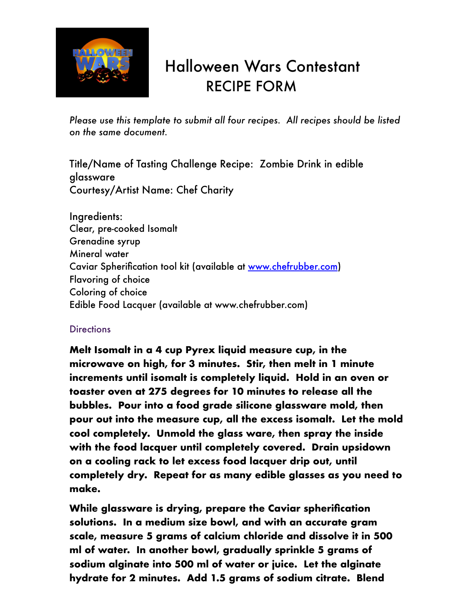

## Halloween Wars Contestant RECIPE FORM

*Please use this template to submit all four recipes. All recipes should be listed on the same document.*

Title/Name of Tasting Challenge Recipe: Zombie Drink in edible glassware Courtesy/Artist Name: Chef Charity

Ingredients: Clear, pre-cooked Isomalt Grenadine syrup Mineral water Caviar Spherification tool kit (available at [www.chefrubber.com](http://www.chefrubber.com)) Flavoring of choice Coloring of choice Edible Food Lacquer (available at www.chefrubber.com)

## **Directions**

**Melt Isomalt in a 4 cup Pyrex liquid measure cup, in the microwave on high, for 3 minutes. Stir, then melt in 1 minute increments until isomalt is completely liquid. Hold in an oven or toaster oven at 275 degrees for 10 minutes to release all the bubbles. Pour into a food grade silicone glassware mold, then pour out into the measure cup, all the excess isomalt. Let the mold cool completely. Unmold the glass ware, then spray the inside with the food lacquer until completely covered. Drain upsidown on a cooling rack to let excess food lacquer drip out, until completely dry. Repeat for as many edible glasses as you need to make.**

**While glassware is drying, prepare the Caviar spherification solutions. In a medium size bowl, and with an accurate gram scale, measure 5 grams of calcium chloride and dissolve it in 500 ml of water. In another bowl, gradually sprinkle 5 grams of sodium alginate into 500 ml of water or juice. Let the alginate hydrate for 2 minutes. Add 1.5 grams of sodium citrate. Blend**